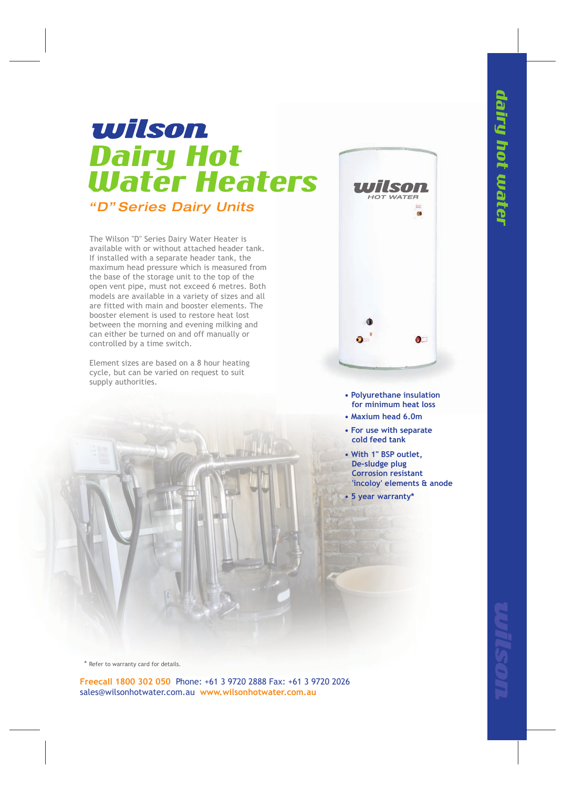## wilson Dairy Hot Water Heaters *"D" Series Dairy Units*

The Wilson "D" Series Dairy Water Heater is available with or without attached header tank. If installed with a separate header tank, the maximum head pressure which is measured from the base of the storage unit to the top of the open vent pipe, must not exceed 6 metres. Both models are available in a variety of sizes and all are fitted with main and booster elements. The booster element is used to restore heat lost between the morning and evening milking and can either be turned on and off manually or controlled by a time switch.

Element sizes are based on a 8 hour heating cycle, but can be varied on request to suit supply authorities.



- **Polyurethane insulation for minimum heat loss**
- **Maxium head 6.0m**
- **For use with separate cold feed tank**
- **With 1" BSP outlet, De-sludge plug Corrosion resistant 'incoloy' elements & anode**
- **5 year warranty\***

\* Refer to warranty card for details.

**Freecall 1800 302 050** Phone: +61 3 9720 2888 Fax: +61 3 9720 2026 sales@wilsonhotwater.com.au **www.wilsonhotwater.com.au**